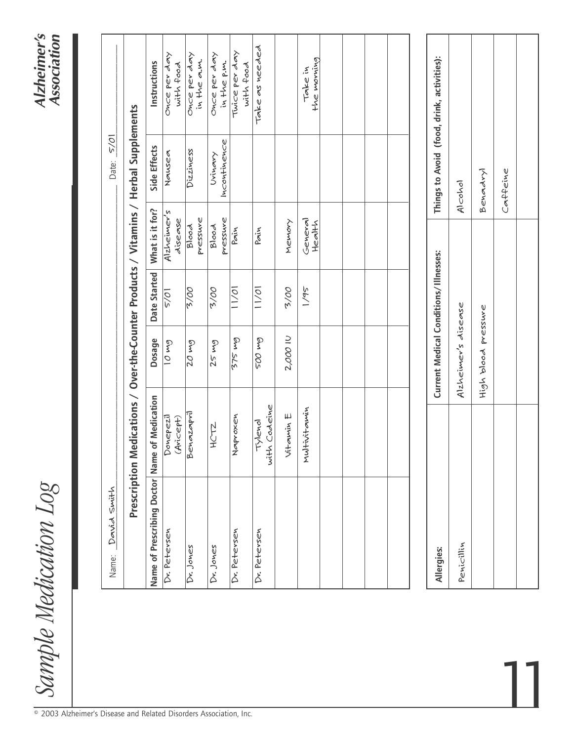## *Sample Medication Log Alzheimer's Association*Sample Medication Log

| David Smith<br>Name:                          |                         |                                        |              |                        | Date: <u>5/01</u>                                                       |                                            |
|-----------------------------------------------|-------------------------|----------------------------------------|--------------|------------------------|-------------------------------------------------------------------------|--------------------------------------------|
| Prescription                                  |                         |                                        |              |                        | Medications / Over-the-Counter Products / Vitamins / Herbal Supplements |                                            |
| Name of Prescribing Doctor Name of Medication |                         | Dosage                                 | Date Started | What is it for?        | Side Effects                                                            | Instructions                               |
| Dv. Petersen                                  | Donepezil<br>(Avicept)  | $6m$ 01                                | 5/01         | Alzheimer's<br>disease | Nausea                                                                  | once per day<br>with food                  |
| Dr. Jones                                     | Benazapril              | $\overline{20}$ mg                     | 00/5         | pressure<br>Blood      | Dizziness                                                               | Once per day<br>in the a.m.                |
| Dr. Jones                                     | <b>HCT2</b>             | 25mg                                   | 2/00         | pressure<br>Blood      | Incontinence<br>Urinary                                                 | Once per day<br>in the p.m.                |
| Dv. Petersen                                  | Naproxen                | $\frac{2}{575}$ mg                     | 10/1         | Pain                   |                                                                         | Twice per day<br>with food                 |
| Dr. Petersen                                  | with Codeine<br>Tylenol | <b>SOO Mg</b>                          | 10/11        | Pain                   |                                                                         | Take as needed                             |
|                                               | Vitamin E               | 2,000 IU                               | 2/00         | Memory                 |                                                                         |                                            |
|                                               | Multivitamin            |                                        | 1/95         | General<br>Health      |                                                                         | the moning<br>Take in                      |
|                                               |                         |                                        |              |                        |                                                                         |                                            |
|                                               |                         |                                        |              |                        |                                                                         |                                            |
|                                               |                         |                                        |              |                        |                                                                         |                                            |
|                                               |                         |                                        |              |                        |                                                                         |                                            |
|                                               |                         |                                        |              |                        |                                                                         |                                            |
| Allergies:                                    |                         | Current Medical Conditions/ Illnesses: |              |                        |                                                                         | Things to Avoid (food, drink, activities): |
| Penicillin                                    |                         | Alzheimer's disease                    |              |                        | Alcohol                                                                 |                                            |
|                                               |                         | High blood pressure                    |              |                        | Benadryl                                                                |                                            |

11

*Caffeine* 

Caffeine